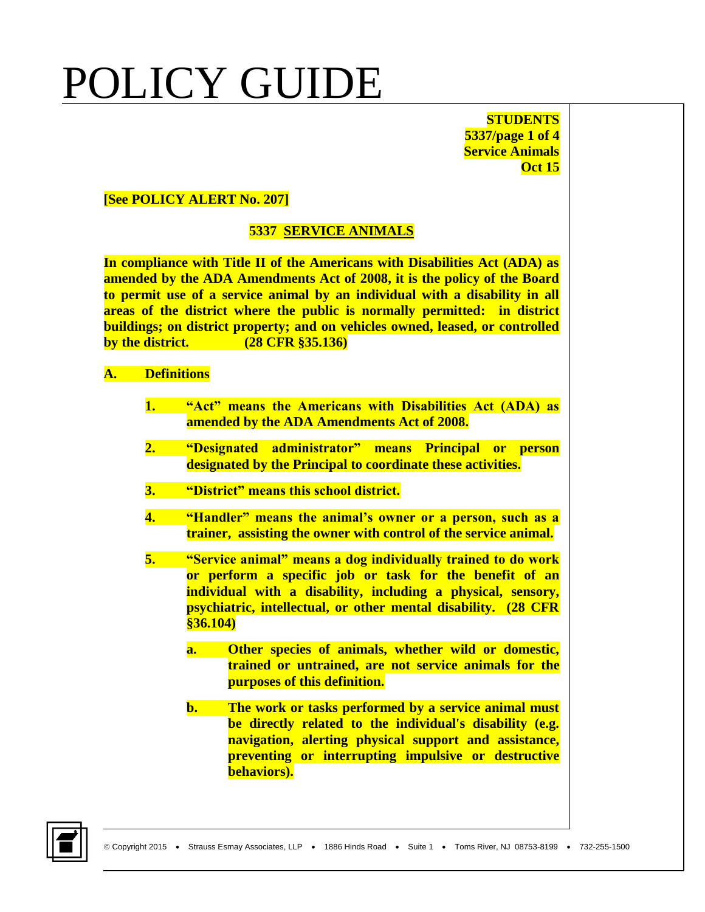**STUDENTS 5337/page 1 of 4 Service Animals Oct 15**

#### **[See POLICY ALERT No. 207]**

### **5337 SERVICE ANIMALS**

**In compliance with Title II of the Americans with Disabilities Act (ADA) as amended by the ADA Amendments Act of 2008, it is the policy of the Board to permit use of a service animal by an individual with a disability in all areas of the district where the public is normally permitted: in district buildings; on district property; and on vehicles owned, leased, or controlled by the district. (28 CFR §35.136)**

#### **A. Definitions**

- **1. "Act" means the Americans with Disabilities Act (ADA) as amended by the ADA Amendments Act of 2008.**
- **2. "Designated administrator" means Principal or person designated by the Principal to coordinate these activities.**
- **3. "District" means this school district.**
- **4. "Handler" means the animal's owner or a person, such as a trainer, assisting the owner with control of the service animal.**
- **5. "Service animal" means a dog individually trained to do work or perform a specific job or task for the benefit of an individual with a disability, including a physical, sensory, psychiatric, intellectual, or other mental disability. (28 CFR §36.104)** 
	- **a. Other species of animals, whether wild or domestic, trained or untrained, are not service animals for the purposes of this definition.**
	- **b. The work or tasks performed by a service animal must be directly related to the individual's disability (e.g. navigation, alerting physical support and assistance, preventing or interrupting impulsive or destructive behaviors).**

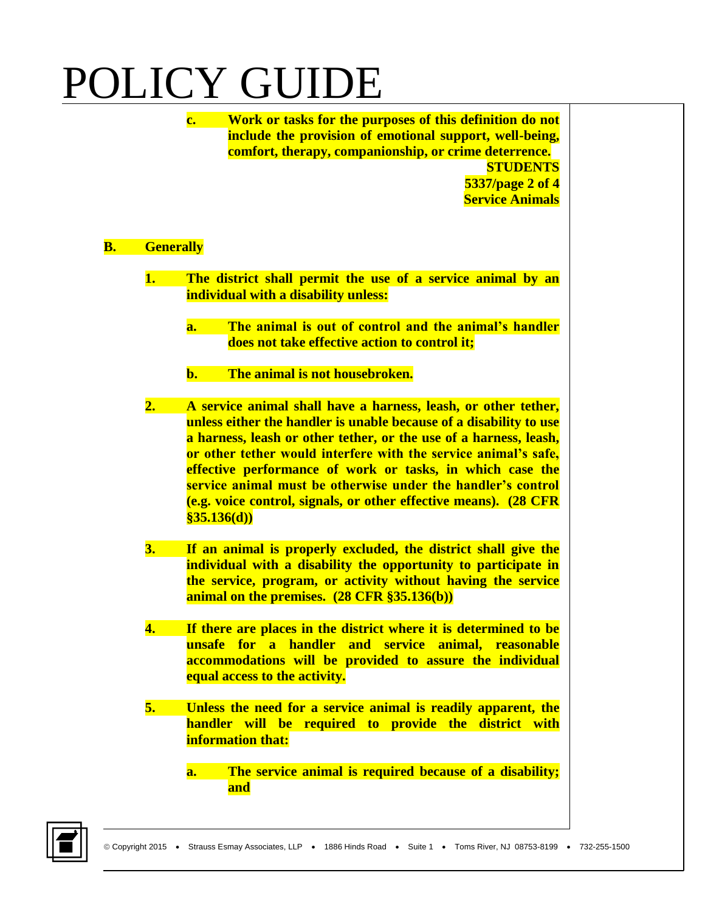**c. Work or tasks for the purposes of this definition do not include the provision of emotional support, well-being, comfort, therapy, companionship, or crime deterrence. STUDENTS 5337/page 2 of 4 Service Animals**

### **B. Generally**

- **1. The district shall permit the use of a service animal by an individual with a disability unless:**
	- **a. The animal is out of control and the animal's handler does not take effective action to control it;**
	- **b. The animal is not housebroken.**
- **2. A service animal shall have a harness, leash, or other tether, unless either the handler is unable because of a disability to use a harness, leash or other tether, or the use of a harness, leash, or other tether would interfere with the service animal's safe, effective performance of work or tasks, in which case the service animal must be otherwise under the handler's control (e.g. voice control, signals, or other effective means). (28 CFR §35.136(d))**
- **3. If an animal is properly excluded, the district shall give the individual with a disability the opportunity to participate in the service, program, or activity without having the service animal on the premises. (28 CFR §35.136(b))**
- **4. If there are places in the district where it is determined to be unsafe for a handler and service animal, reasonable accommodations will be provided to assure the individual equal access to the activity.**
- **5. Unless the need for a service animal is readily apparent, the handler will be required to provide the district with information that:**
	- **a. The service animal is required because of a disability; and**

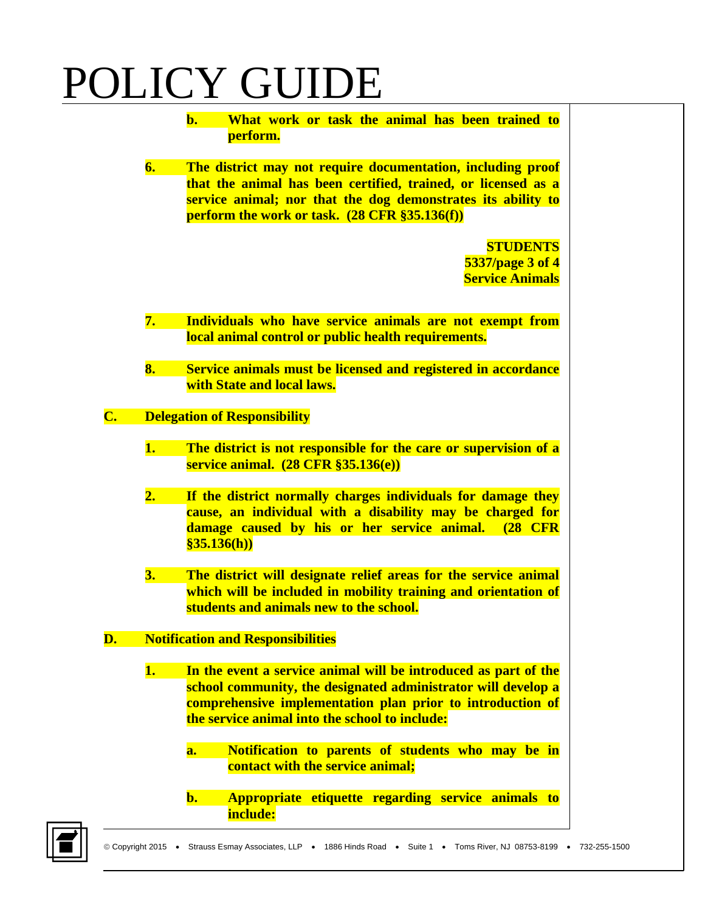**b. What work or task the animal has been trained to perform.**

**6. The district may not require documentation, including proof that the animal has been certified, trained, or licensed as a service animal; nor that the dog demonstrates its ability to perform the work or task. (28 CFR §35.136(f))**

> **STUDENTS 5337/page 3 of 4 Service Animals**

- **7. Individuals who have service animals are not exempt from local animal control or public health requirements.**
- **8. Service animals must be licensed and registered in accordance with State and local laws.**

### **C. Delegation of Responsibility**

- **1. The district is not responsible for the care or supervision of a service animal. (28 CFR §35.136(e))**
- **2. If the district normally charges individuals for damage they cause, an individual with a disability may be charged for damage caused by his or her service animal. (28 CFR §35.136(h))**
- **3. The district will designate relief areas for the service animal which will be included in mobility training and orientation of students and animals new to the school.**

### **D. Notification and Responsibilities**

- **1. In the event a service animal will be introduced as part of the school community, the designated administrator will develop a comprehensive implementation plan prior to introduction of the service animal into the school to include:**
	- **a. Notification to parents of students who may be in contact with the service animal;**
	- **b. Appropriate etiquette regarding service animals to include:**

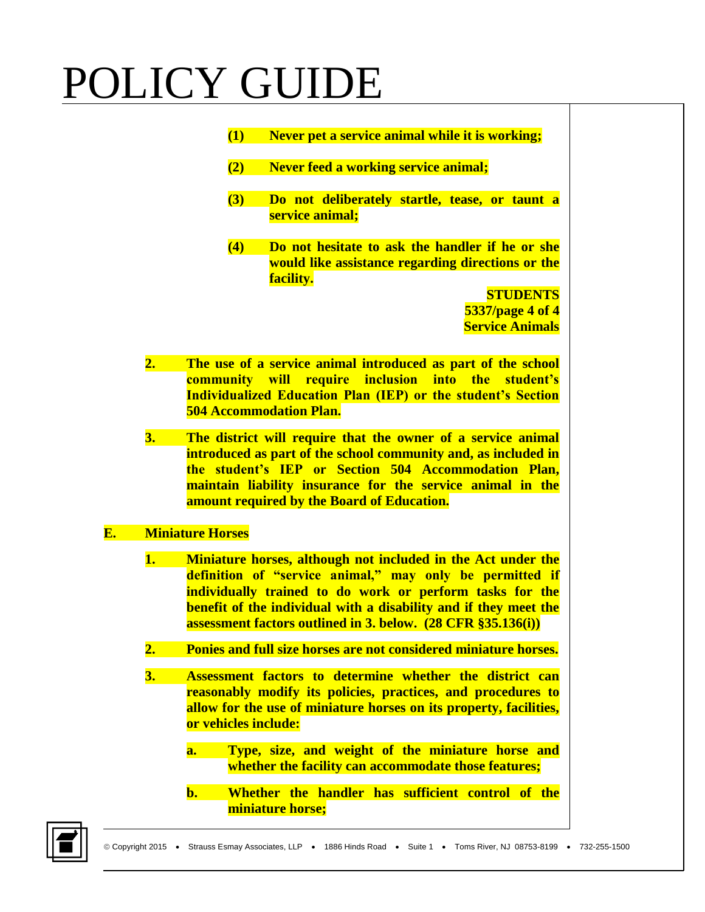|    | (1)                            | Never pet a service animal while it is working;                     |
|----|--------------------------------|---------------------------------------------------------------------|
|    |                                |                                                                     |
|    | (2)                            | <b>Never feed a working service animal;</b>                         |
|    |                                |                                                                     |
|    | (3)                            | Do not deliberately startle, tease, or taunt a                      |
|    |                                | service animal;                                                     |
|    | (4)                            | Do not hesitate to ask the handler if he or she                     |
|    |                                | would like assistance regarding directions or the                   |
|    |                                | facility.                                                           |
|    |                                | <b>STUDENTS</b>                                                     |
|    |                                | 5337/page 4 of 4                                                    |
|    |                                | <b>Service Animals</b>                                              |
|    |                                |                                                                     |
| 2. |                                | The use of a service animal introduced as part of the school        |
|    |                                | <b>community will require inclusion into the student's</b>          |
|    |                                | <b>Individualized Education Plan (IEP) or the student's Section</b> |
|    | <b>504 Accommodation Plan.</b> |                                                                     |
|    |                                |                                                                     |

**3. The district will require that the owner of a service animal introduced as part of the school community and, as included in the student's IEP or Section 504 Accommodation Plan, maintain liability insurance for the service animal in the amount required by the Board of Education.**

### **E. Miniature Horses**

- **1. Miniature horses, although not included in the Act under the definition of "service animal," may only be permitted if individually trained to do work or perform tasks for the benefit of the individual with a disability and if they meet the assessment factors outlined in 3. below. (28 CFR §35.136(i))**
- **2. Ponies and full size horses are not considered miniature horses.**
- **3. Assessment factors to determine whether the district can reasonably modify its policies, practices, and procedures to allow for the use of miniature horses on its property, facilities, or vehicles include:**
	- **a. Type, size, and weight of the miniature horse and whether the facility can accommodate those features;**
	- **b. Whether the handler has sufficient control of the miniature horse;**